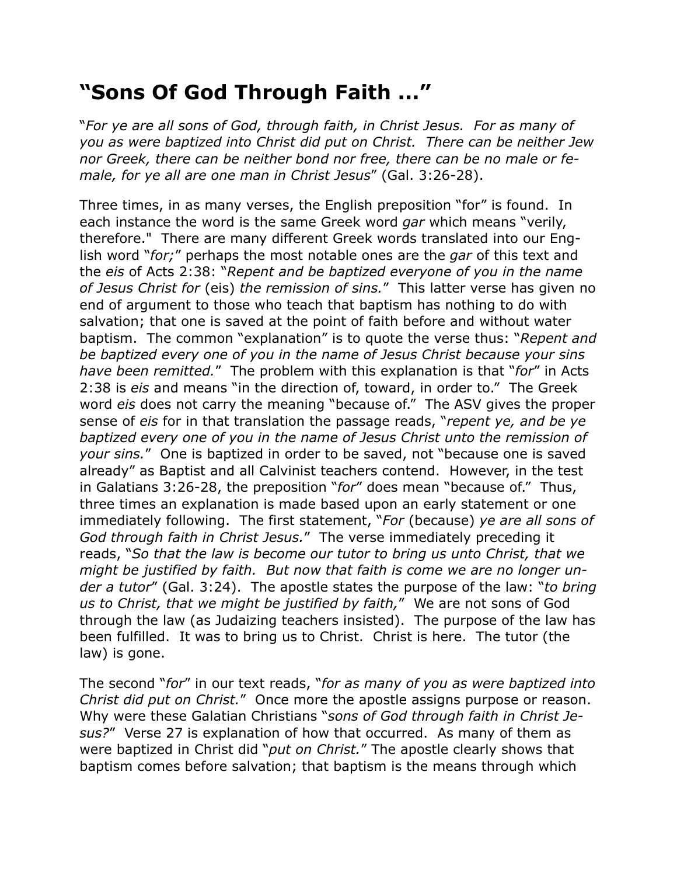## **"Sons Of God Through Faith ..."**

"*For ye are all sons of God, through faith, in Christ Jesus. For as many of you as were baptized into Christ did put on Christ. There can be neither Jew nor Greek, there can be neither bond nor free, there can be no male or female, for ye all are one man in Christ Jesus*" (Gal. 3:26-28).

Three times, in as many verses, the English preposition "for" is found. In each instance the word is the same Greek word *gar* which means "verily, therefore." There are many different Greek words translated into our English word "*for;*" perhaps the most notable ones are the *gar* of this text and the *eis* of Acts 2:38: "*Repent and be baptized everyone of you in the name of Jesus Christ for* (eis) *the remission of sins.*" This latter verse has given no end of argument to those who teach that baptism has nothing to do with salvation; that one is saved at the point of faith before and without water baptism. The common "explanation" is to quote the verse thus: "*Repent and be baptized every one of you in the name of Jesus Christ because your sins have been remitted.*" The problem with this explanation is that "*for*" in Acts 2:38 is *eis* and means "in the direction of, toward, in order to." The Greek word *eis* does not carry the meaning "because of." The ASV gives the proper sense of *eis* for in that translation the passage reads, "*repent ye, and be ye baptized every one of you in the name of Jesus Christ unto the remission of your sins.*" One is baptized in order to be saved, not "because one is saved already" as Baptist and all Calvinist teachers contend. However, in the test in Galatians 3:26-28, the preposition "*for*" does mean "because of." Thus, three times an explanation is made based upon an early statement or one immediately following. The first statement, "*For* (because) *ye are all sons of God through faith in Christ Jesus.*" The verse immediately preceding it reads, "*So that the law is become our tutor to bring us unto Christ, that we might be justified by faith. But now that faith is come we are no longer under a tutor*" (Gal. 3:24). The apostle states the purpose of the law: "*to bring us to Christ, that we might be justified by faith,*" We are not sons of God through the law (as Judaizing teachers insisted). The purpose of the law has been fulfilled. It was to bring us to Christ. Christ is here. The tutor (the law) is gone.

The second "*for*" in our text reads, "*for as many of you as were baptized into Christ did put on Christ.*" Once more the apostle assigns purpose or reason. Why were these Galatian Christians "*sons of God through faith in Christ Jesus?*" Verse 27 is explanation of how that occurred. As many of them as were baptized in Christ did "*put on Christ.*" The apostle clearly shows that baptism comes before salvation; that baptism is the means through which